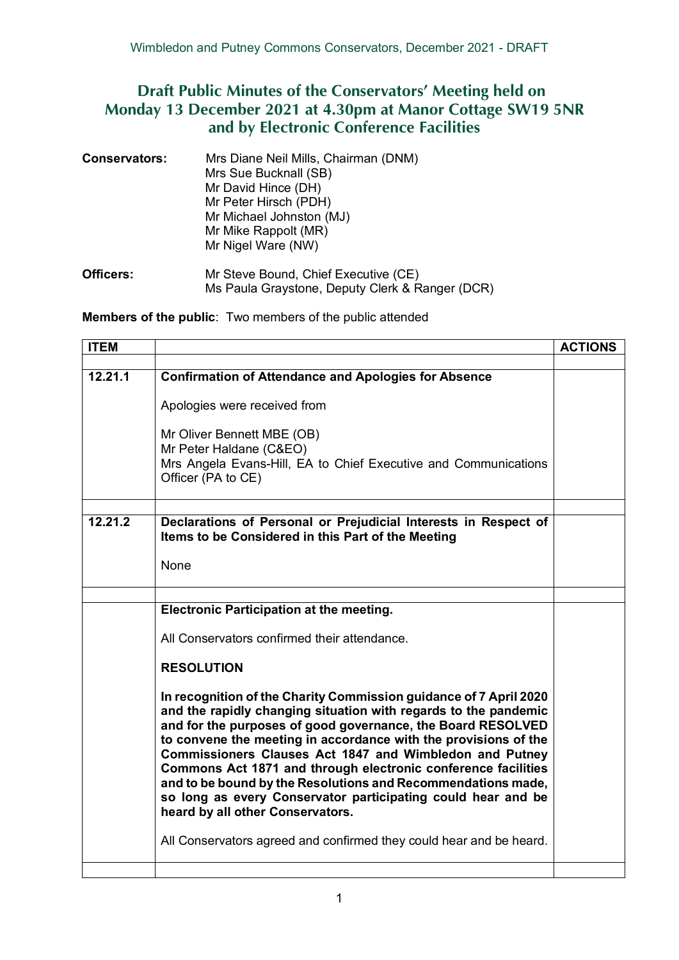## **Draft Public Minutes of the Conservators' Meeting held on Monday 13 December 2021 at 4.30pm at Manor Cottage SW19 5NR and by Electronic Conference Facilities**

| <b>Conservators:</b> | Mrs Diane Neil Mills, Chairman (DNM)<br>Mrs Sue Bucknall (SB)<br>Mr David Hince (DH)<br>Mr Peter Hirsch (PDH)<br>Mr Michael Johnston (MJ)<br>Mr Mike Rappolt (MR)<br>Mr Nigel Ware (NW) |  |
|----------------------|-----------------------------------------------------------------------------------------------------------------------------------------------------------------------------------------|--|
| <b>Officers:</b>     | Mr Steve Bound, Chief Executive (CE)                                                                                                                                                    |  |

Ms Paula Graystone, Deputy Clerk & Ranger (DCR)

**Members of the public**: Two members of the public attended

| <b>ITEM</b> |                                                                                                                                                                                                                                                                                                                                                                                                                                                                                                                                                                        | <b>ACTIONS</b> |
|-------------|------------------------------------------------------------------------------------------------------------------------------------------------------------------------------------------------------------------------------------------------------------------------------------------------------------------------------------------------------------------------------------------------------------------------------------------------------------------------------------------------------------------------------------------------------------------------|----------------|
|             |                                                                                                                                                                                                                                                                                                                                                                                                                                                                                                                                                                        |                |
| 12.21.1     | <b>Confirmation of Attendance and Apologies for Absence</b>                                                                                                                                                                                                                                                                                                                                                                                                                                                                                                            |                |
|             | Apologies were received from                                                                                                                                                                                                                                                                                                                                                                                                                                                                                                                                           |                |
|             | Mr Oliver Bennett MBE (OB)<br>Mr Peter Haldane (C&EO)<br>Mrs Angela Evans-Hill, EA to Chief Executive and Communications<br>Officer (PA to CE)                                                                                                                                                                                                                                                                                                                                                                                                                         |                |
|             |                                                                                                                                                                                                                                                                                                                                                                                                                                                                                                                                                                        |                |
| 12.21.2     | Declarations of Personal or Prejudicial Interests in Respect of<br>Items to be Considered in this Part of the Meeting                                                                                                                                                                                                                                                                                                                                                                                                                                                  |                |
|             | None                                                                                                                                                                                                                                                                                                                                                                                                                                                                                                                                                                   |                |
|             |                                                                                                                                                                                                                                                                                                                                                                                                                                                                                                                                                                        |                |
|             | Electronic Participation at the meeting.                                                                                                                                                                                                                                                                                                                                                                                                                                                                                                                               |                |
|             | All Conservators confirmed their attendance.                                                                                                                                                                                                                                                                                                                                                                                                                                                                                                                           |                |
|             | <b>RESOLUTION</b>                                                                                                                                                                                                                                                                                                                                                                                                                                                                                                                                                      |                |
|             | In recognition of the Charity Commission guidance of 7 April 2020<br>and the rapidly changing situation with regards to the pandemic<br>and for the purposes of good governance, the Board RESOLVED<br>to convene the meeting in accordance with the provisions of the<br>Commissioners Clauses Act 1847 and Wimbledon and Putney<br>Commons Act 1871 and through electronic conference facilities<br>and to be bound by the Resolutions and Recommendations made,<br>so long as every Conservator participating could hear and be<br>heard by all other Conservators. |                |
|             | All Conservators agreed and confirmed they could hear and be heard.                                                                                                                                                                                                                                                                                                                                                                                                                                                                                                    |                |
|             |                                                                                                                                                                                                                                                                                                                                                                                                                                                                                                                                                                        |                |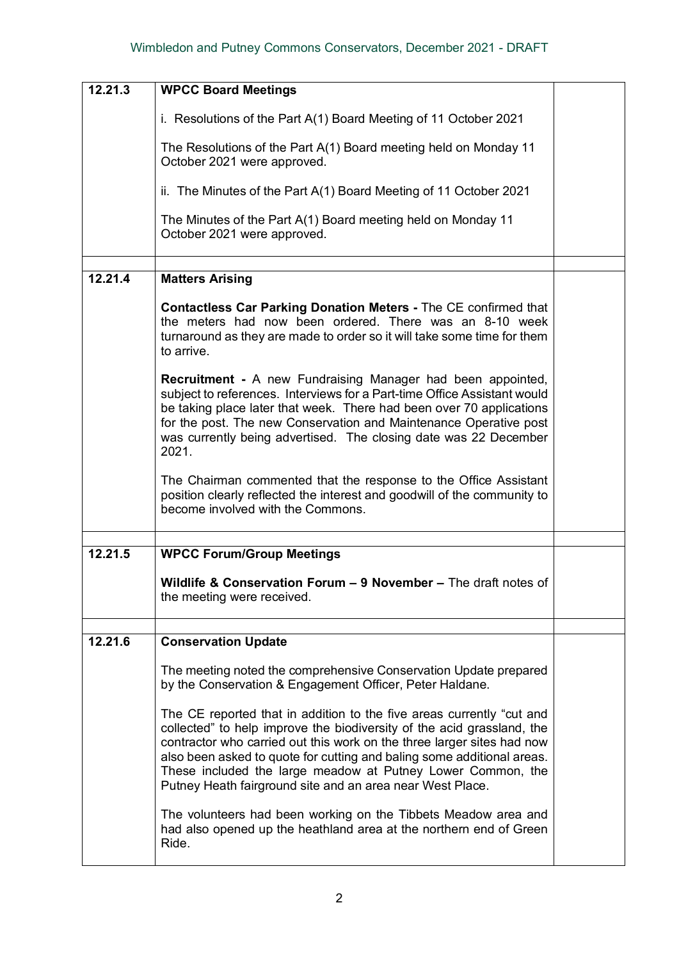| 12.21.3 | <b>WPCC Board Meetings</b>                                                                                                                                                                                                                                                                                                                                                                                                      |  |
|---------|---------------------------------------------------------------------------------------------------------------------------------------------------------------------------------------------------------------------------------------------------------------------------------------------------------------------------------------------------------------------------------------------------------------------------------|--|
|         |                                                                                                                                                                                                                                                                                                                                                                                                                                 |  |
|         | i. Resolutions of the Part A(1) Board Meeting of 11 October 2021                                                                                                                                                                                                                                                                                                                                                                |  |
|         | The Resolutions of the Part A(1) Board meeting held on Monday 11<br>October 2021 were approved.                                                                                                                                                                                                                                                                                                                                 |  |
|         | ii. The Minutes of the Part A(1) Board Meeting of 11 October 2021                                                                                                                                                                                                                                                                                                                                                               |  |
|         | The Minutes of the Part A(1) Board meeting held on Monday 11<br>October 2021 were approved.                                                                                                                                                                                                                                                                                                                                     |  |
| 12.21.4 | <b>Matters Arising</b>                                                                                                                                                                                                                                                                                                                                                                                                          |  |
|         | <b>Contactless Car Parking Donation Meters - The CE confirmed that</b><br>the meters had now been ordered. There was an 8-10 week<br>turnaround as they are made to order so it will take some time for them<br>to arrive.                                                                                                                                                                                                      |  |
|         | <b>Recruitment - A new Fundraising Manager had been appointed,</b><br>subject to references. Interviews for a Part-time Office Assistant would<br>be taking place later that week. There had been over 70 applications<br>for the post. The new Conservation and Maintenance Operative post<br>was currently being advertised. The closing date was 22 December<br>2021.                                                        |  |
|         | The Chairman commented that the response to the Office Assistant<br>position clearly reflected the interest and goodwill of the community to<br>become involved with the Commons.                                                                                                                                                                                                                                               |  |
|         |                                                                                                                                                                                                                                                                                                                                                                                                                                 |  |
| 12.21.5 | <b>WPCC Forum/Group Meetings</b>                                                                                                                                                                                                                                                                                                                                                                                                |  |
|         | Wildlife & Conservation Forum - 9 November - The draft notes of<br>the meeting were received.                                                                                                                                                                                                                                                                                                                                   |  |
|         |                                                                                                                                                                                                                                                                                                                                                                                                                                 |  |
| 12.21.6 | <b>Conservation Update</b>                                                                                                                                                                                                                                                                                                                                                                                                      |  |
|         | The meeting noted the comprehensive Conservation Update prepared<br>by the Conservation & Engagement Officer, Peter Haldane.                                                                                                                                                                                                                                                                                                    |  |
|         | The CE reported that in addition to the five areas currently "cut and<br>collected" to help improve the biodiversity of the acid grassland, the<br>contractor who carried out this work on the three larger sites had now<br>also been asked to quote for cutting and baling some additional areas.<br>These included the large meadow at Putney Lower Common, the<br>Putney Heath fairground site and an area near West Place. |  |
|         | The volunteers had been working on the Tibbets Meadow area and<br>had also opened up the heathland area at the northern end of Green<br>Ride.                                                                                                                                                                                                                                                                                   |  |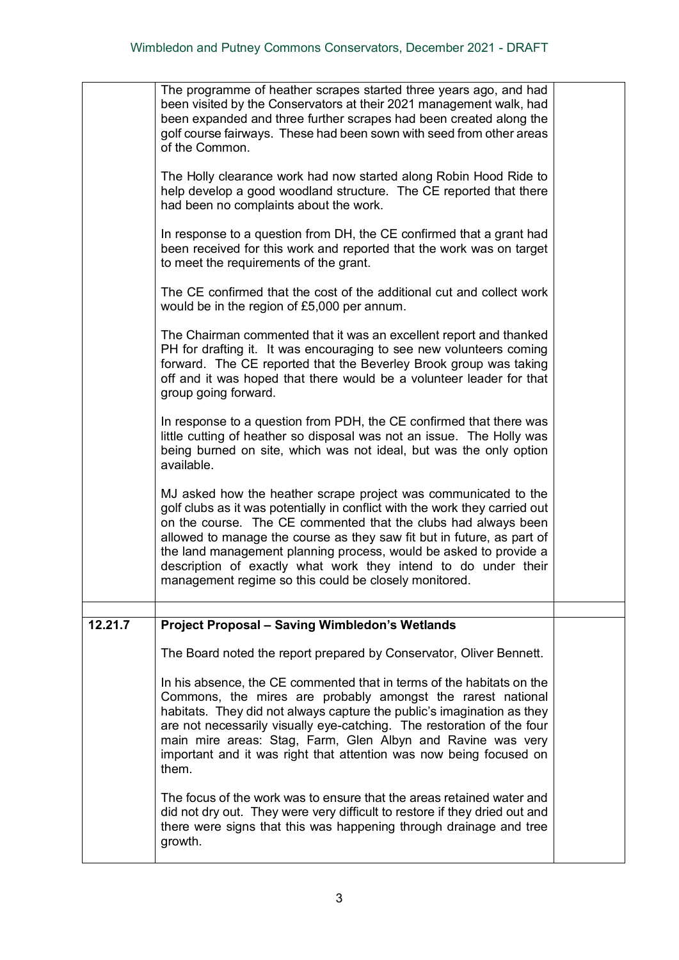|         | The programme of heather scrapes started three years ago, and had<br>been visited by the Conservators at their 2021 management walk, had<br>been expanded and three further scrapes had been created along the<br>golf course fairways. These had been sown with seed from other areas<br>of the Common.                                                                                                                                                                                   |  |
|---------|--------------------------------------------------------------------------------------------------------------------------------------------------------------------------------------------------------------------------------------------------------------------------------------------------------------------------------------------------------------------------------------------------------------------------------------------------------------------------------------------|--|
|         | The Holly clearance work had now started along Robin Hood Ride to<br>help develop a good woodland structure. The CE reported that there<br>had been no complaints about the work.                                                                                                                                                                                                                                                                                                          |  |
|         | In response to a question from DH, the CE confirmed that a grant had<br>been received for this work and reported that the work was on target<br>to meet the requirements of the grant.                                                                                                                                                                                                                                                                                                     |  |
|         | The CE confirmed that the cost of the additional cut and collect work<br>would be in the region of £5,000 per annum.                                                                                                                                                                                                                                                                                                                                                                       |  |
|         | The Chairman commented that it was an excellent report and thanked<br>PH for drafting it. It was encouraging to see new volunteers coming<br>forward. The CE reported that the Beverley Brook group was taking<br>off and it was hoped that there would be a volunteer leader for that<br>group going forward.                                                                                                                                                                             |  |
|         | In response to a question from PDH, the CE confirmed that there was<br>little cutting of heather so disposal was not an issue. The Holly was<br>being burned on site, which was not ideal, but was the only option<br>available.                                                                                                                                                                                                                                                           |  |
|         | MJ asked how the heather scrape project was communicated to the<br>golf clubs as it was potentially in conflict with the work they carried out<br>on the course. The CE commented that the clubs had always been<br>allowed to manage the course as they saw fit but in future, as part of<br>the land management planning process, would be asked to provide a<br>description of exactly what work they intend to do under their<br>management regime so this could be closely monitored. |  |
| 12.21.7 | <b>Project Proposal - Saving Wimbledon's Wetlands</b>                                                                                                                                                                                                                                                                                                                                                                                                                                      |  |
|         | The Board noted the report prepared by Conservator, Oliver Bennett.                                                                                                                                                                                                                                                                                                                                                                                                                        |  |
|         | In his absence, the CE commented that in terms of the habitats on the<br>Commons, the mires are probably amongst the rarest national<br>habitats. They did not always capture the public's imagination as they<br>are not necessarily visually eye-catching. The restoration of the four<br>main mire areas: Stag, Farm, Glen Albyn and Ravine was very<br>important and it was right that attention was now being focused on<br>them.                                                     |  |
|         | The focus of the work was to ensure that the areas retained water and<br>did not dry out. They were very difficult to restore if they dried out and<br>there were signs that this was happening through drainage and tree<br>growth.                                                                                                                                                                                                                                                       |  |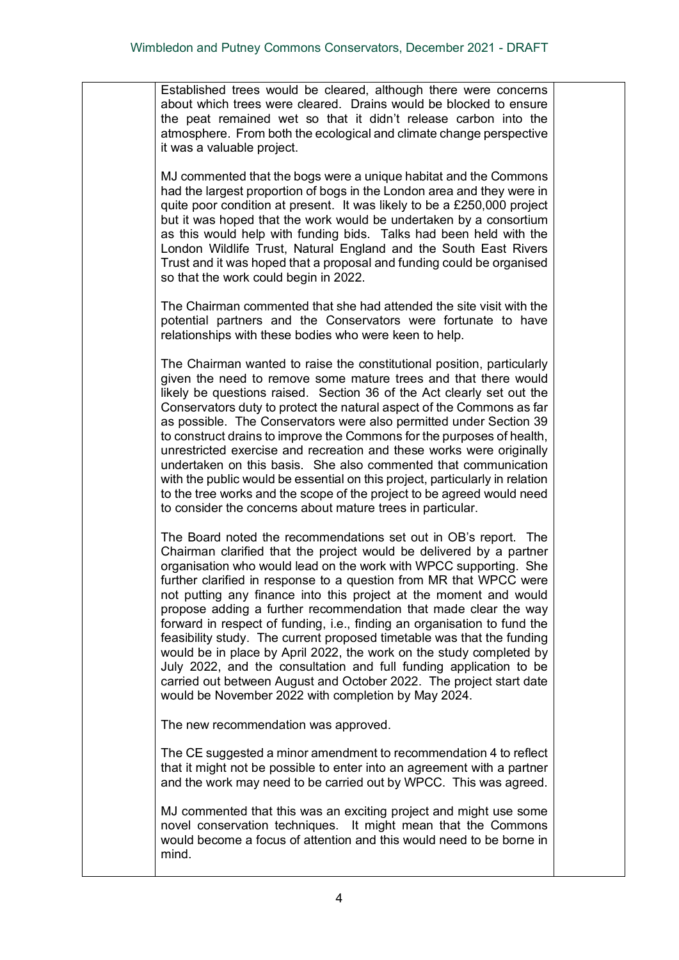Established trees would be cleared, although there were concerns about which trees were cleared. Drains would be blocked to ensure the peat remained wet so that it didn't release carbon into the atmosphere. From both the ecological and climate change perspective it was a valuable project.

MJ commented that the bogs were a unique habitat and the Commons had the largest proportion of bogs in the London area and they were in quite poor condition at present. It was likely to be a £250,000 project but it was hoped that the work would be undertaken by a consortium as this would help with funding bids. Talks had been held with the London Wildlife Trust, Natural England and the South East Rivers Trust and it was hoped that a proposal and funding could be organised so that the work could begin in 2022.

The Chairman commented that she had attended the site visit with the potential partners and the Conservators were fortunate to have relationships with these bodies who were keen to help.

The Chairman wanted to raise the constitutional position, particularly given the need to remove some mature trees and that there would likely be questions raised. Section 36 of the Act clearly set out the Conservators duty to protect the natural aspect of the Commons as far as possible. The Conservators were also permitted under Section 39 to construct drains to improve the Commons for the purposes of health, unrestricted exercise and recreation and these works were originally undertaken on this basis. She also commented that communication with the public would be essential on this project, particularly in relation to the tree works and the scope of the project to be agreed would need to consider the concerns about mature trees in particular.

The Board noted the recommendations set out in OB's report. The Chairman clarified that the project would be delivered by a partner organisation who would lead on the work with WPCC supporting. She further clarified in response to a question from MR that WPCC were not putting any finance into this project at the moment and would propose adding a further recommendation that made clear the way forward in respect of funding, i.e., finding an organisation to fund the feasibility study. The current proposed timetable was that the funding would be in place by April 2022, the work on the study completed by July 2022, and the consultation and full funding application to be carried out between August and October 2022. The project start date would be November 2022 with completion by May 2024.

The new recommendation was approved.

The CE suggested a minor amendment to recommendation 4 to reflect that it might not be possible to enter into an agreement with a partner and the work may need to be carried out by WPCC. This was agreed.

MJ commented that this was an exciting project and might use some novel conservation techniques. It might mean that the Commons would become a focus of attention and this would need to be borne in mind.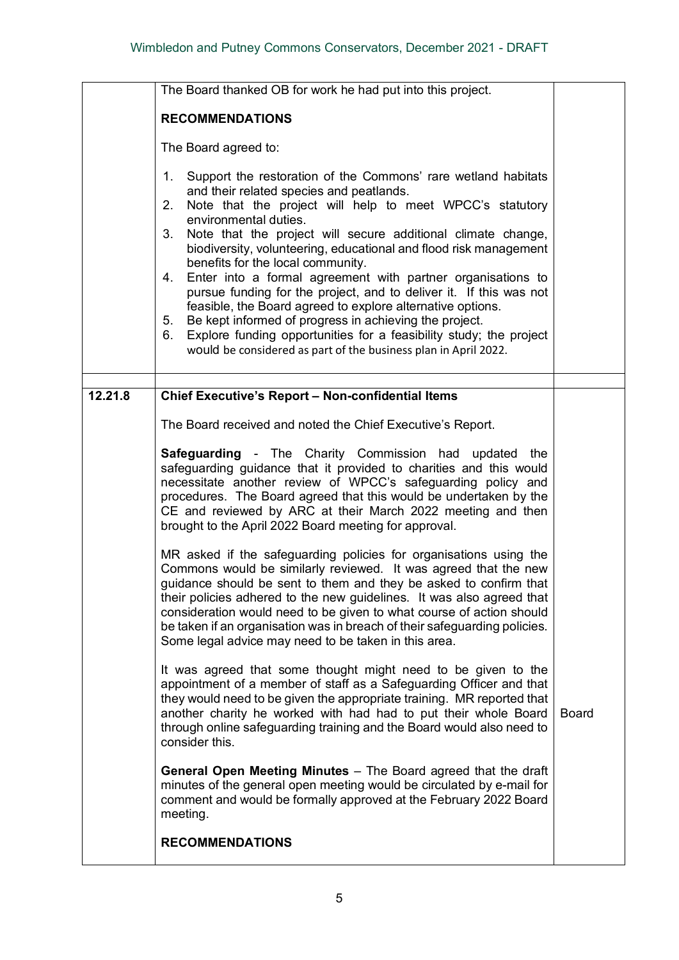|         | The Board thanked OB for work he had put into this project.                                                                                                                                                                                                                                                                                                                                                                                                                                                                                                                                                                                                                                                                                                                                                                                                                                                                                                                                                                                                                                                                                                                                                                                                                                                                                                                                                                                                                                                                                                                                                                                                           |              |
|---------|-----------------------------------------------------------------------------------------------------------------------------------------------------------------------------------------------------------------------------------------------------------------------------------------------------------------------------------------------------------------------------------------------------------------------------------------------------------------------------------------------------------------------------------------------------------------------------------------------------------------------------------------------------------------------------------------------------------------------------------------------------------------------------------------------------------------------------------------------------------------------------------------------------------------------------------------------------------------------------------------------------------------------------------------------------------------------------------------------------------------------------------------------------------------------------------------------------------------------------------------------------------------------------------------------------------------------------------------------------------------------------------------------------------------------------------------------------------------------------------------------------------------------------------------------------------------------------------------------------------------------------------------------------------------------|--------------|
|         | <b>RECOMMENDATIONS</b>                                                                                                                                                                                                                                                                                                                                                                                                                                                                                                                                                                                                                                                                                                                                                                                                                                                                                                                                                                                                                                                                                                                                                                                                                                                                                                                                                                                                                                                                                                                                                                                                                                                |              |
|         | The Board agreed to:                                                                                                                                                                                                                                                                                                                                                                                                                                                                                                                                                                                                                                                                                                                                                                                                                                                                                                                                                                                                                                                                                                                                                                                                                                                                                                                                                                                                                                                                                                                                                                                                                                                  |              |
|         | Support the restoration of the Commons' rare wetland habitats<br>1.<br>and their related species and peatlands.<br>Note that the project will help to meet WPCC's statutory<br>2.<br>environmental duties.<br>3.<br>Note that the project will secure additional climate change,<br>biodiversity, volunteering, educational and flood risk management<br>benefits for the local community.<br>Enter into a formal agreement with partner organisations to<br>4.<br>pursue funding for the project, and to deliver it. If this was not<br>feasible, the Board agreed to explore alternative options.<br>Be kept informed of progress in achieving the project.<br>5.<br>Explore funding opportunities for a feasibility study; the project<br>6.<br>would be considered as part of the business plan in April 2022.                                                                                                                                                                                                                                                                                                                                                                                                                                                                                                                                                                                                                                                                                                                                                                                                                                                    |              |
| 12.21.8 |                                                                                                                                                                                                                                                                                                                                                                                                                                                                                                                                                                                                                                                                                                                                                                                                                                                                                                                                                                                                                                                                                                                                                                                                                                                                                                                                                                                                                                                                                                                                                                                                                                                                       |              |
|         | Chief Executive's Report - Non-confidential Items<br>The Board received and noted the Chief Executive's Report.<br><b>Safeguarding - The Charity Commission had</b><br>updated the<br>safeguarding guidance that it provided to charities and this would<br>necessitate another review of WPCC's safeguarding policy and<br>procedures. The Board agreed that this would be undertaken by the<br>CE and reviewed by ARC at their March 2022 meeting and then<br>brought to the April 2022 Board meeting for approval.<br>MR asked if the safeguarding policies for organisations using the<br>Commons would be similarly reviewed. It was agreed that the new<br>guidance should be sent to them and they be asked to confirm that<br>their policies adhered to the new guidelines. It was also agreed that<br>consideration would need to be given to what course of action should<br>be taken if an organisation was in breach of their safeguarding policies.<br>Some legal advice may need to be taken in this area.<br>It was agreed that some thought might need to be given to the<br>appointment of a member of staff as a Safeguarding Officer and that<br>they would need to be given the appropriate training. MR reported that<br>another charity he worked with had had to put their whole Board<br>through online safeguarding training and the Board would also need to<br>consider this.<br><b>General Open Meeting Minutes</b> - The Board agreed that the draft<br>minutes of the general open meeting would be circulated by e-mail for<br>comment and would be formally approved at the February 2022 Board<br>meeting.<br><b>RECOMMENDATIONS</b> | <b>Board</b> |
|         |                                                                                                                                                                                                                                                                                                                                                                                                                                                                                                                                                                                                                                                                                                                                                                                                                                                                                                                                                                                                                                                                                                                                                                                                                                                                                                                                                                                                                                                                                                                                                                                                                                                                       |              |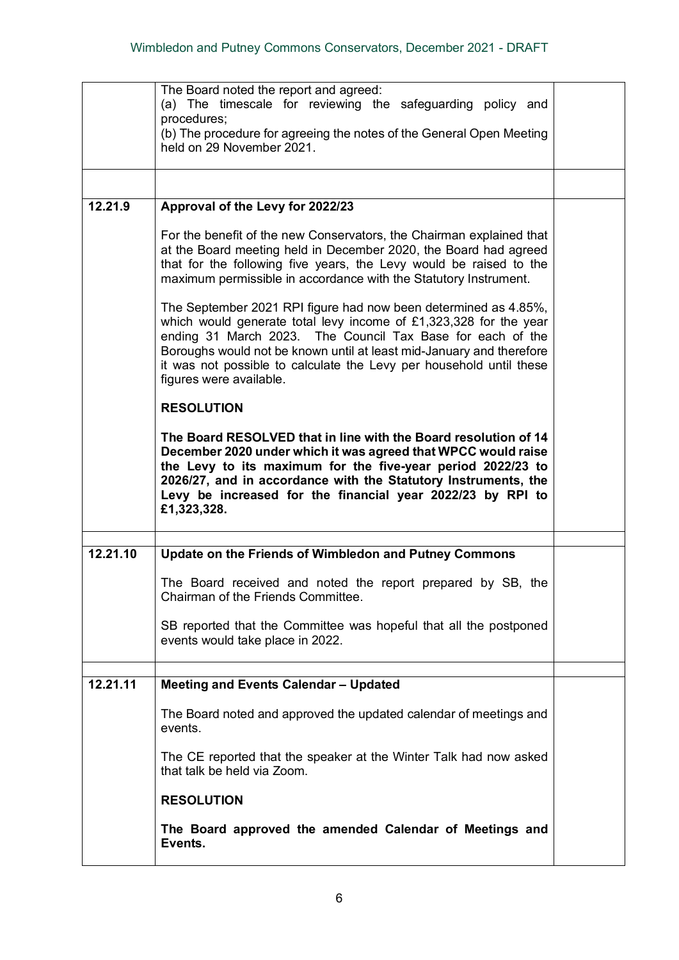|          | The Board noted the report and agreed:<br>(a) The timescale for reviewing the safeguarding policy and<br>procedures;<br>(b) The procedure for agreeing the notes of the General Open Meeting<br>held on 29 November 2021.                                                                                                                                                    |  |
|----------|------------------------------------------------------------------------------------------------------------------------------------------------------------------------------------------------------------------------------------------------------------------------------------------------------------------------------------------------------------------------------|--|
| 12.21.9  | Approval of the Levy for 2022/23                                                                                                                                                                                                                                                                                                                                             |  |
|          | For the benefit of the new Conservators, the Chairman explained that<br>at the Board meeting held in December 2020, the Board had agreed<br>that for the following five years, the Levy would be raised to the<br>maximum permissible in accordance with the Statutory Instrument.                                                                                           |  |
|          | The September 2021 RPI figure had now been determined as 4.85%,<br>which would generate total levy income of £1,323,328 for the year<br>ending 31 March 2023. The Council Tax Base for each of the<br>Boroughs would not be known until at least mid-January and therefore<br>it was not possible to calculate the Levy per household until these<br>figures were available. |  |
|          | <b>RESOLUTION</b>                                                                                                                                                                                                                                                                                                                                                            |  |
|          | The Board RESOLVED that in line with the Board resolution of 14<br>December 2020 under which it was agreed that WPCC would raise<br>the Levy to its maximum for the five-year period 2022/23 to<br>2026/27, and in accordance with the Statutory Instruments, the<br>Levy be increased for the financial year 2022/23 by RPI to<br>£1,323,328.                               |  |
| 12.21.10 | Update on the Friends of Wimbledon and Putney Commons                                                                                                                                                                                                                                                                                                                        |  |
|          | The Board received and noted the report prepared by SB, the<br>Chairman of the Friends Committee.                                                                                                                                                                                                                                                                            |  |
|          | SB reported that the Committee was hopeful that all the postponed<br>events would take place in 2022.                                                                                                                                                                                                                                                                        |  |
| 12.21.11 | <b>Meeting and Events Calendar - Updated</b>                                                                                                                                                                                                                                                                                                                                 |  |
|          | The Board noted and approved the updated calendar of meetings and<br>events.                                                                                                                                                                                                                                                                                                 |  |
|          | The CE reported that the speaker at the Winter Talk had now asked<br>that talk be held via Zoom.                                                                                                                                                                                                                                                                             |  |
|          | <b>RESOLUTION</b>                                                                                                                                                                                                                                                                                                                                                            |  |
|          | The Board approved the amended Calendar of Meetings and<br>Events.                                                                                                                                                                                                                                                                                                           |  |